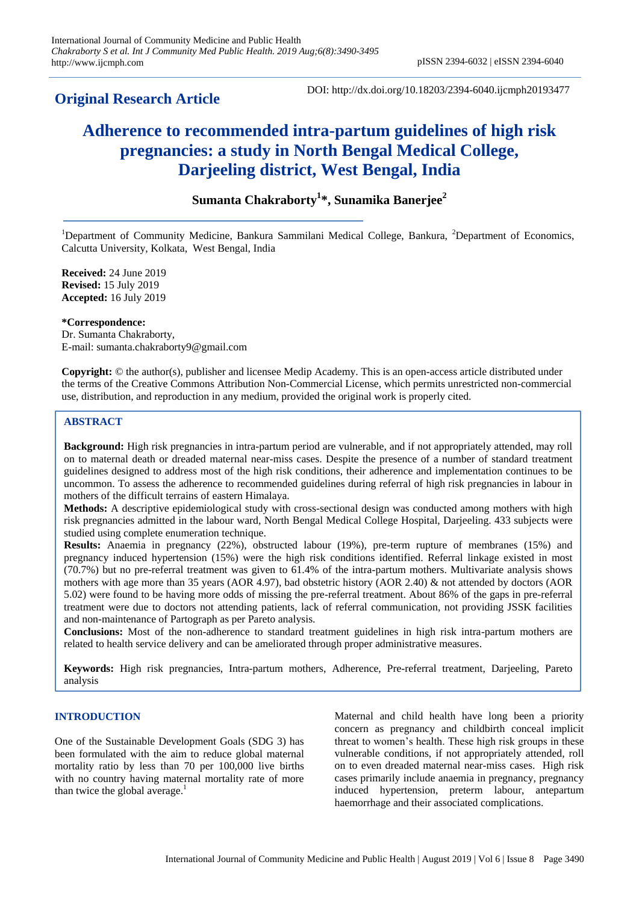# **Original Research Article**

DOI: http://dx.doi.org/10.18203/2394-6040.ijcmph20193477

# **Adherence to recommended intra-partum guidelines of high risk pregnancies: a study in North Bengal Medical College, Darjeeling district, West Bengal, India**

# **Sumanta Chakraborty<sup>1</sup> \*, Sunamika Banerjee<sup>2</sup>**

<sup>1</sup>Department of Community Medicine, Bankura Sammilani Medical College, Bankura, <sup>2</sup>Department of Economics, Calcutta University, Kolkata, West Bengal, India

**Received:** 24 June 2019 **Revised:** 15 July 2019 **Accepted:** 16 July 2019

### **\*Correspondence:**

Dr. Sumanta Chakraborty, E-mail: sumanta.chakraborty9@gmail.com

**Copyright:** © the author(s), publisher and licensee Medip Academy. This is an open-access article distributed under the terms of the Creative Commons Attribution Non-Commercial License, which permits unrestricted non-commercial use, distribution, and reproduction in any medium, provided the original work is properly cited.

# **ABSTRACT**

**Background:** High risk pregnancies in intra-partum period are vulnerable, and if not appropriately attended, may roll on to maternal death or dreaded maternal near-miss cases. Despite the presence of a number of standard treatment guidelines designed to address most of the high risk conditions, their adherence and implementation continues to be uncommon. To assess the adherence to recommended guidelines during referral of high risk pregnancies in labour in mothers of the difficult terrains of eastern Himalaya.

**Methods:** A descriptive epidemiological study with cross-sectional design was conducted among mothers with high risk pregnancies admitted in the labour ward, North Bengal Medical College Hospital, Darjeeling. 433 subjects were studied using complete enumeration technique.

**Results:** Anaemia in pregnancy (22%), obstructed labour (19%), pre-term rupture of membranes (15%) and pregnancy induced hypertension (15%) were the high risk conditions identified. Referral linkage existed in most (70.7%) but no pre-referral treatment was given to 61.4% of the intra-partum mothers. Multivariate analysis shows mothers with age more than 35 years (AOR 4.97), bad obstetric history (AOR 2.40) & not attended by doctors (AOR 5.02) were found to be having more odds of missing the pre-referral treatment. About 86% of the gaps in pre-referral treatment were due to doctors not attending patients, lack of referral communication, not providing JSSK facilities and non-maintenance of Partograph as per Pareto analysis.

**Conclusions:** Most of the non-adherence to standard treatment guidelines in high risk intra-partum mothers are related to health service delivery and can be ameliorated through proper administrative measures.

**Keywords:** High risk pregnancies, Intra-partum mothers, Adherence, Pre-referral treatment, Darjeeling, Pareto analysis

# **INTRODUCTION**

One of the Sustainable Development Goals (SDG 3) has been formulated with the aim to reduce global maternal mortality ratio by less than 70 per 100,000 live births with no country having maternal mortality rate of more than twice the global average.<sup>1</sup>

Maternal and child health have long been a priority concern as pregnancy and childbirth conceal implicit threat to women's health. These high risk groups in these vulnerable conditions, if not appropriately attended, roll on to even dreaded maternal near-miss cases. High risk cases primarily include anaemia in pregnancy, pregnancy induced hypertension, preterm labour, antepartum haemorrhage and their associated complications.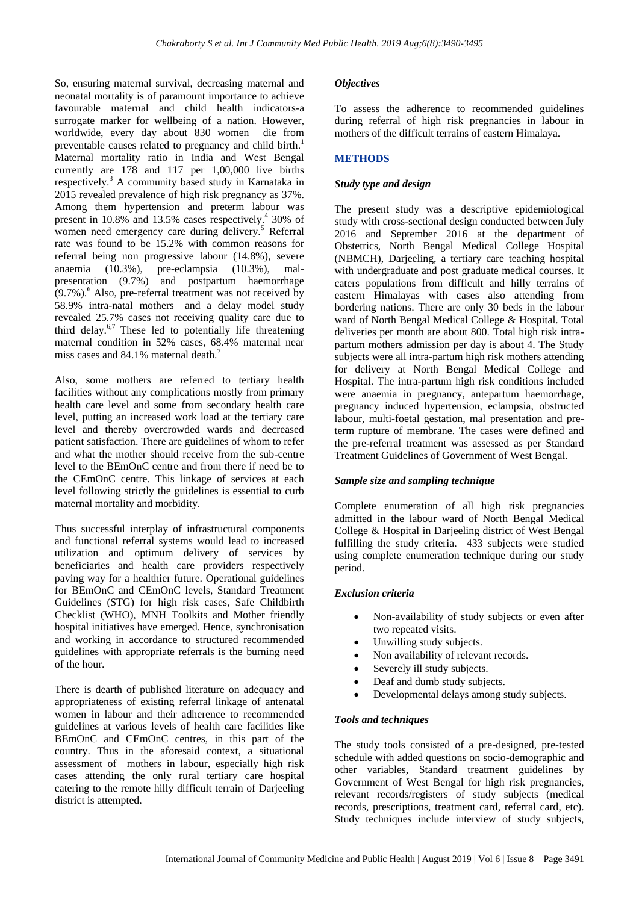So, ensuring maternal survival, decreasing maternal and neonatal mortality is of paramount importance to achieve favourable maternal and child health indicators-a surrogate marker for wellbeing of a nation. However, worldwide, every day about 830 women die from preventable causes related to pregnancy and child birth.<sup>1</sup> Maternal mortality ratio in India and West Bengal currently are 178 and 117 per 1,00,000 live births respectively.<sup>3</sup> A community based study in Karnataka in 2015 revealed prevalence of high risk pregnancy as 37%. Among them hypertension and preterm labour was present in 10.8% and 13.5% cases respectively.<sup>4</sup> 30% of women need emergency care during delivery.<sup>5</sup> Referral rate was found to be 15.2% with common reasons for referral being non progressive labour (14.8%), severe anaemia (10.3%), pre-eclampsia (10.3%), malpresentation (9.7%) and postpartum haemorrhage  $(9.7\%)$ <sup>6</sup> Also, pre-referral treatment was not received by 58.9% intra-natal mothers and a delay model study revealed 25.7% cases not receiving quality care due to third delay.6,7 These led to potentially life threatening maternal condition in 52% cases, 68.4% maternal near miss cases and 84.1% maternal death.<sup>7</sup>

Also, some mothers are referred to tertiary health facilities without any complications mostly from primary health care level and some from secondary health care level, putting an increased work load at the tertiary care level and thereby overcrowded wards and decreased patient satisfaction. There are guidelines of whom to refer and what the mother should receive from the sub-centre level to the BEmOnC centre and from there if need be to the CEmOnC centre. This linkage of services at each level following strictly the guidelines is essential to curb maternal mortality and morbidity.

Thus successful interplay of infrastructural components and functional referral systems would lead to increased utilization and optimum delivery of services by beneficiaries and health care providers respectively paving way for a healthier future. Operational guidelines for BEmOnC and CEmOnC levels, Standard Treatment Guidelines (STG) for high risk cases, Safe Childbirth Checklist (WHO), MNH Toolkits and Mother friendly hospital initiatives have emerged. Hence, synchronisation and working in accordance to structured recommended guidelines with appropriate referrals is the burning need of the hour.

There is dearth of published literature on adequacy and appropriateness of existing referral linkage of antenatal women in labour and their adherence to recommended guidelines at various levels of health care facilities like BEmOnC and CEmOnC centres, in this part of the country. Thus in the aforesaid context, a situational assessment of mothers in labour, especially high risk cases attending the only rural tertiary care hospital catering to the remote hilly difficult terrain of Darjeeling district is attempted.

# *Objectives*

To assess the adherence to recommended guidelines during referral of high risk pregnancies in labour in mothers of the difficult terrains of eastern Himalaya.

# **METHODS**

# *Study type and design*

The present study was a descriptive epidemiological study with cross-sectional design conducted between July 2016 and September 2016 at the department of Obstetrics, North Bengal Medical College Hospital (NBMCH), Darjeeling, a tertiary care teaching hospital with undergraduate and post graduate medical courses. It caters populations from difficult and hilly terrains of eastern Himalayas with cases also attending from bordering nations. There are only 30 beds in the labour ward of North Bengal Medical College & Hospital. Total deliveries per month are about 800. Total high risk intrapartum mothers admission per day is about 4. The Study subjects were all intra-partum high risk mothers attending for delivery at North Bengal Medical College and Hospital. The intra-partum high risk conditions included were anaemia in pregnancy, antepartum haemorrhage, pregnancy induced hypertension, eclampsia, obstructed labour, multi-foetal gestation, mal presentation and preterm rupture of membrane. The cases were defined and the pre-referral treatment was assessed as per Standard Treatment Guidelines of Government of West Bengal.

# *Sample size and sampling technique*

Complete enumeration of all high risk pregnancies admitted in the labour ward of North Bengal Medical College & Hospital in Darjeeling district of West Bengal fulfilling the study criteria. 433 subjects were studied using complete enumeration technique during our study period.

#### *Exclusion criteria*

- Non-availability of study subjects or even after two repeated visits.
- Unwilling study subjects.
- Non availability of relevant records.
- Severely ill study subjects.
- Deaf and dumb study subjects.
- Developmental delays among study subjects.

#### *Tools and techniques*

The study tools consisted of a pre-designed, pre-tested schedule with added questions on socio-demographic and other variables, Standard treatment guidelines by Government of West Bengal for high risk pregnancies, relevant records/registers of study subjects (medical records, prescriptions, treatment card, referral card, etc). Study techniques include interview of study subjects,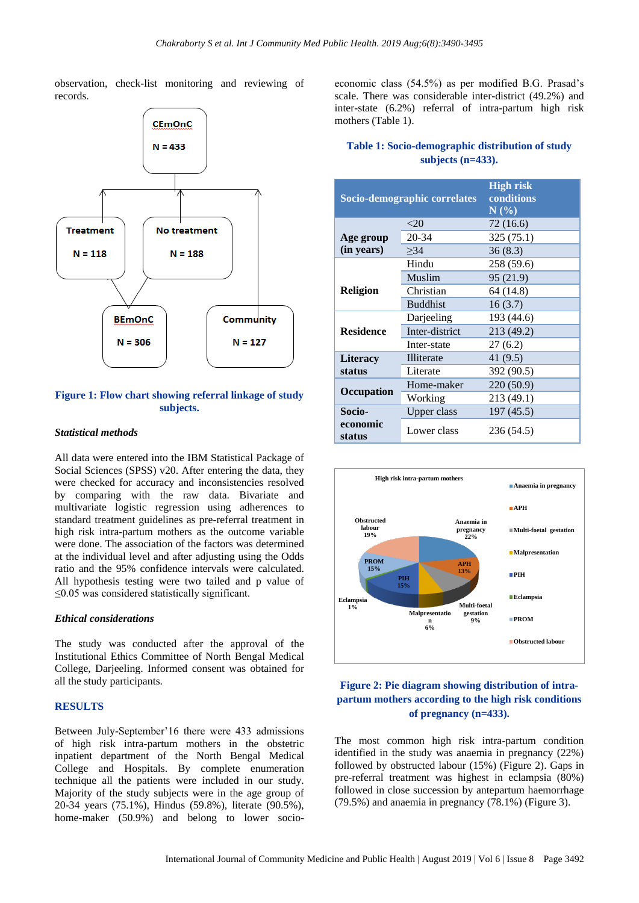observation, check-list monitoring and reviewing of records.



# **Figure 1: Flow chart showing referral linkage of study subjects.**

#### *Statistical methods*

All data were entered into the IBM Statistical Package of Social Sciences (SPSS) v20. After entering the data, they were checked for accuracy and inconsistencies resolved by comparing with the raw data. Bivariate and multivariate logistic regression using adherences to standard treatment guidelines as pre-referral treatment in high risk intra-partum mothers as the outcome variable were done. The association of the factors was determined at the individual level and after adjusting using the Odds ratio and the 95% confidence intervals were calculated. All hypothesis testing were two tailed and p value of ≤0.05 was considered statistically significant.

#### *Ethical considerations*

The study was conducted after the approval of the Institutional Ethics Committee of North Bengal Medical College, Darjeeling. Informed consent was obtained for all the study participants.

#### **RESULTS**

Between July-September'16 there were 433 admissions of high risk intra-partum mothers in the obstetric inpatient department of the North Bengal Medical College and Hospitals. By complete enumeration technique all the patients were included in our study. Majority of the study subjects were in the age group of 20-34 years (75.1%), Hindus (59.8%), literate (90.5%), home-maker (50.9%) and belong to lower socioeconomic class (54.5%) as per modified B.G. Prasad's scale. There was considerable inter-district (49.2%) and inter-state (6.2%) referral of intra-partum high risk mothers (Table 1).

# **Table 1: Socio-demographic distribution of study subjects (n=433).**

| Socio-demographic correlates |                    | <b>High risk</b><br>conditions<br>$N(\%)$ |  |
|------------------------------|--------------------|-------------------------------------------|--|
|                              | $<$ 20             | 72 (16.6)                                 |  |
| Age group                    | 20-34              | 325 (75.1)                                |  |
| (in years)                   | >34                | 36(8.3)                                   |  |
|                              | Hindu              | 258 (59.6)                                |  |
|                              | Muslim             | 95 (21.9)                                 |  |
| <b>Religion</b>              | Christian          | 64 (14.8)                                 |  |
|                              | <b>Buddhist</b>    | 16(3.7)                                   |  |
|                              | Darjeeling         | 193 (44.6)                                |  |
| <b>Residence</b>             | Inter-district     | 213 (49.2)                                |  |
|                              | Inter-state        | 27(6.2)                                   |  |
| <b>Literacy</b>              | Illiterate         | 41 (9.5)                                  |  |
| status                       | Literate           | 392 (90.5)                                |  |
| <b>Occupation</b>            | Home-maker         | 220 (50.9)                                |  |
|                              | Working            | 213 (49.1)                                |  |
| Socio-                       | <b>Upper class</b> | 197 (45.5)                                |  |
| economic<br>status           | Lower class        | 236 (54.5)                                |  |



# **Figure 2: Pie diagram showing distribution of intrapartum mothers according to the high risk conditions of pregnancy (n=433).**

The most common high risk intra-partum condition identified in the study was anaemia in pregnancy (22%) followed by obstructed labour (15%) (Figure 2). Gaps in pre-referral treatment was highest in eclampsia (80%) followed in close succession by antepartum haemorrhage (79.5%) and anaemia in pregnancy (78.1%) (Figure 3).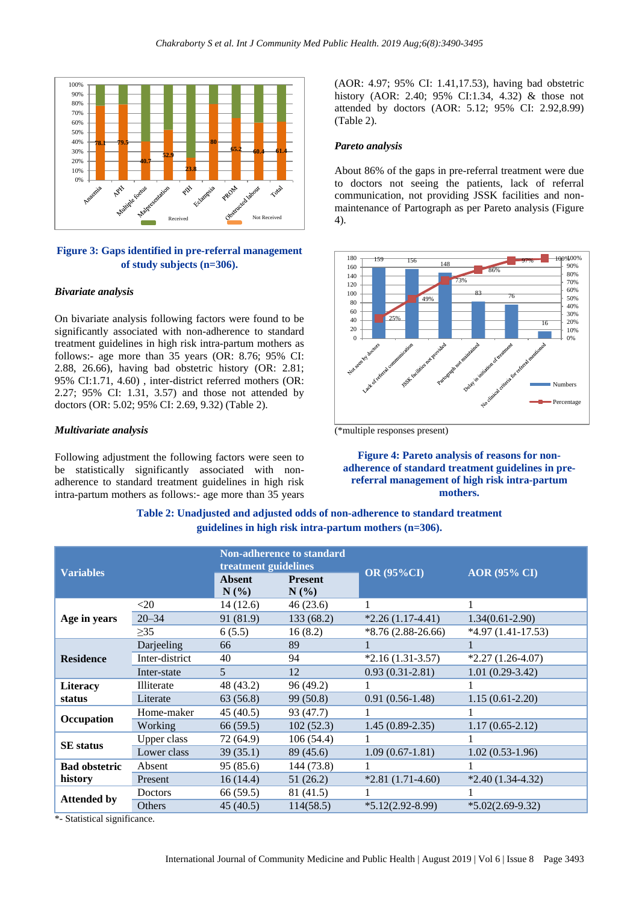

# **Figure 3: Gaps identified in pre-referral management of study subjects (n=306).**

#### *Bivariate analysis*

On bivariate analysis following factors were found to be significantly associated with non-adherence to standard treatment guidelines in high risk intra-partum mothers as follows:- age more than 35 years (OR: 8.76; 95% CI: 2.88, 26.66), having bad obstetric history (OR: 2.81; 95% CI:1.71, 4.60) , inter-district referred mothers (OR: 2.27; 95% CI: 1.31, 3.57) and those not attended by doctors (OR: 5.02; 95% CI: 2.69, 9.32) (Table 2).

#### *Multivariate analysis*

Following adjustment the following factors were seen to be statistically significantly associated with nonadherence to standard treatment guidelines in high risk intra-partum mothers as follows:- age more than 35 years

(AOR: 4.97; 95% CI: 1.41,17.53), having bad obstetric history (AOR: 2.40; 95% CI:1.34, 4.32) & those not attended by doctors (AOR: 5.12; 95% CI: 2.92,8.99) (Table 2).

#### *Pareto analysis*

About 86% of the gaps in pre-referral treatment were due to doctors not seeing the patients, lack of referral communication, not providing JSSK facilities and nonmaintenance of Partograph as per Pareto analysis (Figure 4).



(\*multiple responses present)

**Figure 4: Pareto analysis of reasons for nonadherence of standard treatment guidelines in prereferral management of high risk intra-partum mothers.**

# **Table 2: Unadjusted and adjusted odds of non-adherence to standard treatment guidelines in high risk intra-partum mothers (n=306).**

| <b>Variables</b> |                |                           | <b>OR (95%CI)</b>                                        | <b>AOR</b> (95% CI) |
|------------------|----------------|---------------------------|----------------------------------------------------------|---------------------|
|                  |                | <b>Present</b><br>$N(\%)$ |                                                          |                     |
| $<$ 20           | 14(12.6)       | 46(23.6)                  |                                                          |                     |
| $20 - 34$        | 91 (81.9)      | 133(68.2)                 | $*2.26(1.17-4.41)$                                       | $1.34(0.61 - 2.90)$ |
| $\geq$ 35        | 6(5.5)         | 16(8.2)                   | $*8.76(2.88-26.66)$                                      | $*4.97(1.41-17.53)$ |
| Darjeeling       | 66             | 89                        |                                                          |                     |
| Inter-district   | 40             | 94                        | $*2.16(1.31-3.57)$                                       | $*2.27(1.26-4.07)$  |
| Inter-state      | $\overline{5}$ | 12                        | $0.93(0.31-2.81)$                                        | $1.01(0.29-3.42)$   |
| Illiterate       | 48 (43.2)      | 96 (49.2)                 |                                                          |                     |
| Literate         | 63 (56.8)      | 99 (50.8)                 | $0.91(0.56-1.48)$                                        | $1.15(0.61 - 2.20)$ |
| Home-maker       | 45 (40.5)      | 93 (47.7)                 | 1                                                        |                     |
| Working          | 66(59.5)       | 102(52.3)                 | $1.45(0.89-2.35)$                                        | $1.17(0.65 - 2.12)$ |
| Upper class      | 72 (64.9)      | 106(54.4)                 |                                                          |                     |
| Lower class      | 39(35.1)       | 89 (45.6)                 | $1.09(0.67-1.81)$                                        | $1.02(0.53-1.96)$   |
| Absent           | 95(85.6)       | 144 (73.8)                |                                                          |                     |
| Present          | 16(14.4)       | 51 (26.2)                 | $*2.81(1.71-4.60)$                                       | $*2.40(1.34-4.32)$  |
| Doctors          | 66 (59.5)      | 81 (41.5)                 |                                                          |                     |
| <b>Others</b>    | 45(40.5)       | 114(58.5)                 | $*5.12(2.92 - 8.99)$                                     | $*5.02(2.69-9.32)$  |
|                  |                | <b>Absent</b><br>$N(\%)$  | <b>Non-adherence to standard</b><br>treatment guidelines |                     |

\*- Statistical significance.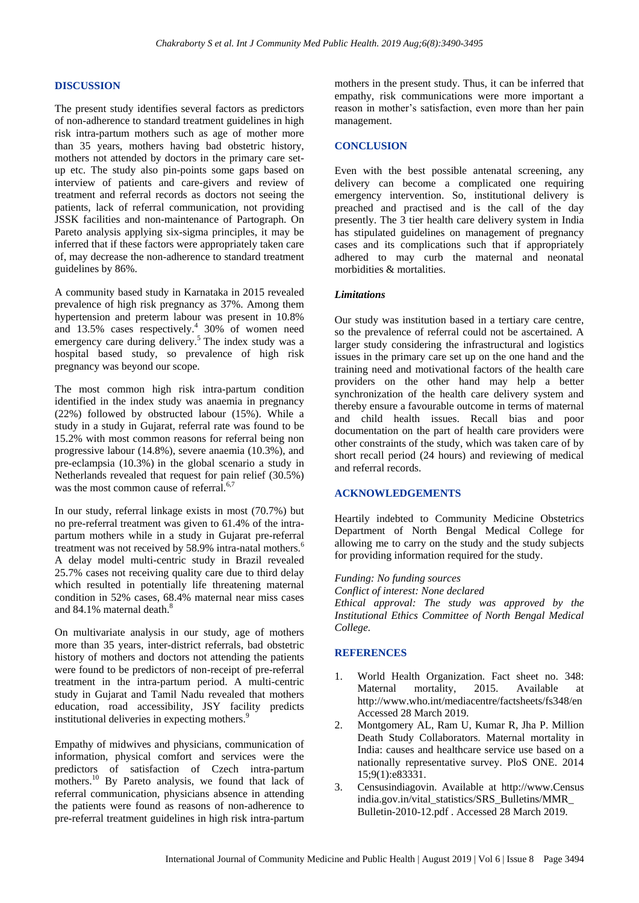#### **DISCUSSION**

The present study identifies several factors as predictors of non-adherence to standard treatment guidelines in high risk intra-partum mothers such as age of mother more than 35 years, mothers having bad obstetric history, mothers not attended by doctors in the primary care setup etc. The study also pin-points some gaps based on interview of patients and care-givers and review of treatment and referral records as doctors not seeing the patients, lack of referral communication, not providing JSSK facilities and non-maintenance of Partograph. On Pareto analysis applying six-sigma principles, it may be inferred that if these factors were appropriately taken care of, may decrease the non-adherence to standard treatment guidelines by 86%.

A community based study in Karnataka in 2015 revealed prevalence of high risk pregnancy as 37%. Among them hypertension and preterm labour was present in 10.8% and 13.5% cases respectively.<sup>4</sup> 30% of women need emergency care during delivery.<sup>5</sup> The index study was a hospital based study, so prevalence of high risk pregnancy was beyond our scope.

The most common high risk intra-partum condition identified in the index study was anaemia in pregnancy (22%) followed by obstructed labour (15%). While a study in a study in Gujarat, referral rate was found to be 15.2% with most common reasons for referral being non progressive labour (14.8%), severe anaemia (10.3%), and pre-eclampsia (10.3%) in the global scenario a study in Netherlands revealed that request for pain relief (30.5%) was the most common cause of referral.<sup>6,7</sup>

In our study, referral linkage exists in most (70.7%) but no pre-referral treatment was given to 61.4% of the intrapartum mothers while in a study in Gujarat pre-referral treatment was not received by 58.9% intra-natal mothers.<sup>6</sup> A delay model multi-centric study in Brazil revealed 25.7% cases not receiving quality care due to third delay which resulted in potentially life threatening maternal condition in 52% cases, 68.4% maternal near miss cases and 84.1% maternal death. $^8$ 

On multivariate analysis in our study, age of mothers more than 35 years, inter-district referrals, bad obstetric history of mothers and doctors not attending the patients were found to be predictors of non-receipt of pre-referral treatment in the intra-partum period. A multi-centric study in Gujarat and Tamil Nadu revealed that mothers education, road accessibility, JSY facility predicts institutional deliveries in expecting mothers.<sup>9</sup>

Empathy of midwives and physicians, communication of information, physical comfort and services were the predictors of satisfaction of Czech intra-partum mothers.<sup>10</sup> By Pareto analysis, we found that lack of referral communication, physicians absence in attending the patients were found as reasons of non-adherence to pre-referral treatment guidelines in high risk intra-partum mothers in the present study. Thus, it can be inferred that empathy, risk communications were more important a reason in mother's satisfaction, even more than her pain management.

#### **CONCLUSION**

Even with the best possible antenatal screening, any delivery can become a complicated one requiring emergency intervention. So, institutional delivery is preached and practised and is the call of the day presently. The 3 tier health care delivery system in India has stipulated guidelines on management of pregnancy cases and its complications such that if appropriately adhered to may curb the maternal and neonatal morbidities & mortalities.

#### *Limitations*

Our study was institution based in a tertiary care centre, so the prevalence of referral could not be ascertained. A larger study considering the infrastructural and logistics issues in the primary care set up on the one hand and the training need and motivational factors of the health care providers on the other hand may help a better synchronization of the health care delivery system and thereby ensure a favourable outcome in terms of maternal and child health issues. Recall bias and poor documentation on the part of health care providers were other constraints of the study, which was taken care of by short recall period (24 hours) and reviewing of medical and referral records.

#### **ACKNOWLEDGEMENTS**

Heartily indebted to Community Medicine Obstetrics Department of North Bengal Medical College for allowing me to carry on the study and the study subjects for providing information required for the study.

#### *Funding: No funding sources*

*Conflict of interest: None declared Ethical approval: The study was approved by the Institutional Ethics Committee of North Bengal Medical College.*

### **REFERENCES**

- 1. World Health Organization. Fact sheet no. 348: Maternal mortality, 2015. Available http://www.who.int/mediacentre/factsheets/fs348/en Accessed 28 March 2019.
- 2. Montgomery AL, Ram U, Kumar R, Jha P. Million Death Study Collaborators. Maternal mortality in India: causes and healthcare service use based on a nationally representative survey. PloS ONE. 2014 15;9(1):e83331.
- 3. Censusindiagovin. Available at [http://www.](http://www/)Census india.gov.in/vital\_statistics/SRS\_Bulletins/MMR\_ Bulletin-2010-12.pdf . Accessed 28 March 2019.